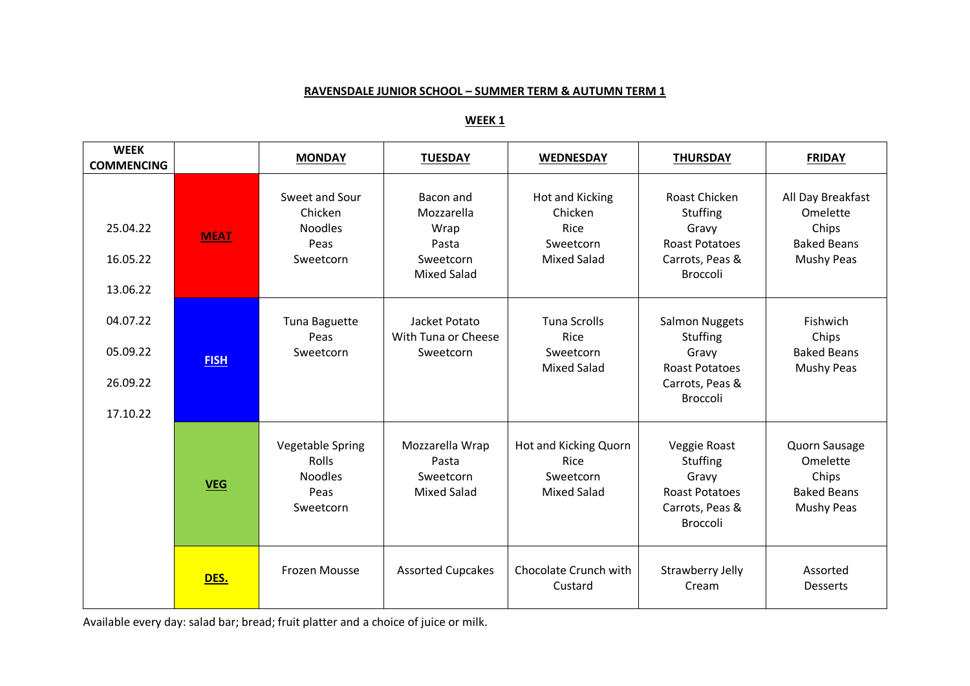## **RAVENSDALE JUNIOR SCHOOL – SUMMER TERM & AUTUMN TERM 1**

# **WEEK 1**

| <b>WEEK</b><br><b>COMMENCING</b>             |             | <b>MONDAY</b>                                                                  | <b>TUESDAY</b>                                                              | <b>WEDNESDAY</b>                                                             | <b>THURSDAY</b>                                                                                           | <b>FRIDAY</b>                                                              |
|----------------------------------------------|-------------|--------------------------------------------------------------------------------|-----------------------------------------------------------------------------|------------------------------------------------------------------------------|-----------------------------------------------------------------------------------------------------------|----------------------------------------------------------------------------|
| 25.04.22<br>16.05.22<br>13.06.22             | <b>MEAT</b> | Sweet and Sour<br>Chicken<br><b>Noodles</b><br>Peas<br>Sweetcorn               | Bacon and<br>Mozzarella<br>Wrap<br>Pasta<br>Sweetcorn<br><b>Mixed Salad</b> | <b>Hot and Kicking</b><br>Chicken<br>Rice<br>Sweetcorn<br><b>Mixed Salad</b> | <b>Roast Chicken</b><br>Stuffing<br>Gravy<br><b>Roast Potatoes</b><br>Carrots, Peas &<br><b>Broccoli</b>  | All Day Breakfast<br>Omelette<br>Chips<br><b>Baked Beans</b><br>Mushy Peas |
| 04.07.22<br>05.09.22<br>26.09.22<br>17.10.22 | <b>FISH</b> | Tuna Baguette<br>Peas<br>Sweetcorn                                             | Jacket Potato<br>With Tuna or Cheese<br>Sweetcorn                           | <b>Tuna Scrolls</b><br>Rice<br>Sweetcorn<br><b>Mixed Salad</b>               | <b>Salmon Nuggets</b><br><b>Stuffing</b><br>Gravy<br><b>Roast Potatoes</b><br>Carrots, Peas &<br>Broccoli | Fishwich<br>Chips<br><b>Baked Beans</b><br>Mushy Peas                      |
|                                              | <b>VEG</b>  | <b>Vegetable Spring</b><br><b>Rolls</b><br><b>Noodles</b><br>Peas<br>Sweetcorn | Mozzarella Wrap<br>Pasta<br>Sweetcorn<br><b>Mixed Salad</b>                 | Hot and Kicking Quorn<br>Rice<br>Sweetcorn<br><b>Mixed Salad</b>             | Veggie Roast<br>Stuffing<br>Gravy<br><b>Roast Potatoes</b><br>Carrots, Peas &<br><b>Broccoli</b>          | Quorn Sausage<br>Omelette<br>Chips<br><b>Baked Beans</b><br>Mushy Peas     |
|                                              | DES.        | <b>Frozen Mousse</b>                                                           | <b>Assorted Cupcakes</b>                                                    | Chocolate Crunch with<br>Custard                                             | Strawberry Jelly<br>Cream                                                                                 | Assorted<br><b>Desserts</b>                                                |

Available every day: salad bar; bread; fruit platter and a choice of juice or milk.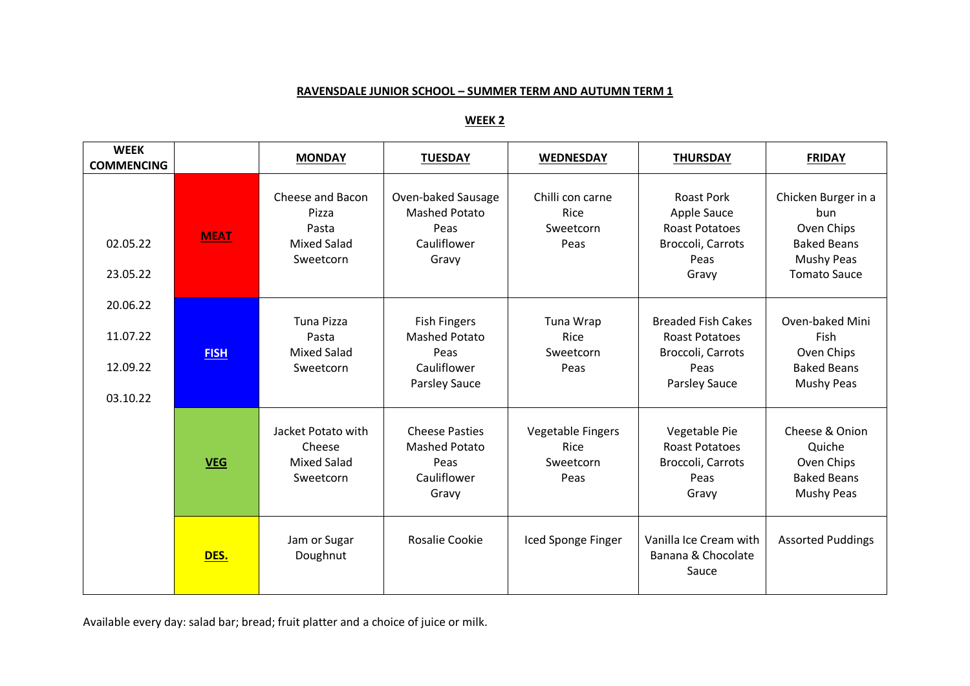## **RAVENSDALE JUNIOR SCHOOL – SUMMER TERM AND AUTUMN TERM 1**

# **WEEK 2**

| <b>WEEK</b><br><b>COMMENCING</b> |             | <b>MONDAY</b>                                                         | <b>TUESDAY</b>                                                                | <b>WEDNESDAY</b>                                      | <b>THURSDAY</b>                                                                                 | <b>FRIDAY</b>                                                                                               |
|----------------------------------|-------------|-----------------------------------------------------------------------|-------------------------------------------------------------------------------|-------------------------------------------------------|-------------------------------------------------------------------------------------------------|-------------------------------------------------------------------------------------------------------------|
| 02.05.22<br>23.05.22             | <b>MEAT</b> | Cheese and Bacon<br>Pizza<br>Pasta<br><b>Mixed Salad</b><br>Sweetcorn | Oven-baked Sausage<br><b>Mashed Potato</b><br>Peas<br>Cauliflower<br>Gravy    | Chilli con carne<br>Rice<br>Sweetcorn<br>Peas         | <b>Roast Pork</b><br>Apple Sauce<br><b>Roast Potatoes</b><br>Broccoli, Carrots<br>Peas<br>Gravy | Chicken Burger in a<br>bun.<br>Oven Chips<br><b>Baked Beans</b><br><b>Mushy Peas</b><br><b>Tomato Sauce</b> |
| 20.06.22                         |             | <b>Tuna Pizza</b>                                                     |                                                                               |                                                       | <b>Breaded Fish Cakes</b>                                                                       | Oven-baked Mini                                                                                             |
| 11.07.22                         |             | Pasta                                                                 | <b>Fish Fingers</b><br>Mashed Potato                                          | Tuna Wrap<br>Rice                                     | <b>Roast Potatoes</b>                                                                           | Fish                                                                                                        |
| 12.09.22                         | <b>FISH</b> | <b>Mixed Salad</b><br>Sweetcorn                                       | Peas<br>Cauliflower                                                           | Sweetcorn<br>Peas                                     | Broccoli, Carrots<br>Peas                                                                       | Oven Chips<br><b>Baked Beans</b>                                                                            |
| 03.10.22                         |             |                                                                       | <b>Parsley Sauce</b>                                                          |                                                       | <b>Parsley Sauce</b>                                                                            | Mushy Peas                                                                                                  |
|                                  | <b>VEG</b>  | Jacket Potato with<br>Cheese<br><b>Mixed Salad</b><br>Sweetcorn       | <b>Cheese Pasties</b><br><b>Mashed Potato</b><br>Peas<br>Cauliflower<br>Gravy | <b>Vegetable Fingers</b><br>Rice<br>Sweetcorn<br>Peas | Vegetable Pie<br><b>Roast Potatoes</b><br>Broccoli, Carrots<br>Peas<br>Gravy                    | Cheese & Onion<br>Quiche<br>Oven Chips<br><b>Baked Beans</b><br><b>Mushy Peas</b>                           |
|                                  | DES.        | Jam or Sugar<br>Doughnut                                              | Rosalie Cookie                                                                | Iced Sponge Finger                                    | Vanilla Ice Cream with<br>Banana & Chocolate<br>Sauce                                           | <b>Assorted Puddings</b>                                                                                    |

Available every day: salad bar; bread; fruit platter and a choice of juice or milk.